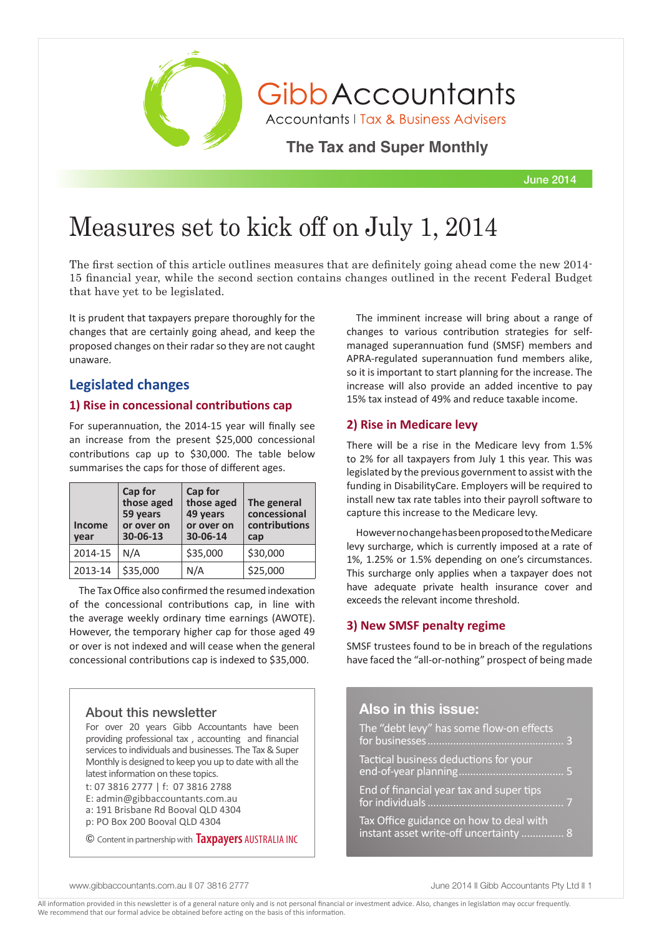

GibbAccountants

**Accountants | Tax & Business Advisers** 

**The Tax and Super Monthly** 

June 2014

# Measures set to kick off on July 1, 2014

The first section of this article outlines measures that are definitely going ahead come the new 2014- 15 financial year, while the second section contains changes outlined in the recent Federal Budget that have yet to be legislated.

It is prudent that taxpayers prepare thoroughly for the changes that are certainly going ahead, and keep the proposed changes on their radar so they are not caught unaware.

## **Legislated changes**

## **1) Rise in concessional contributions cap**

For superannuation, the 2014-15 year will finally see an increase from the present \$25,000 concessional contributions cap up to \$30,000. The table below summarises the caps for those of different ages.

| <b>Income</b><br>vear | Cap for<br>those aged<br>59 years<br>or over on<br>30-06-13 | Cap for<br>those aged<br>49 years<br>or over on<br>30-06-14 | The general<br>concessional<br>contributions<br>cap |
|-----------------------|-------------------------------------------------------------|-------------------------------------------------------------|-----------------------------------------------------|
| 2014-15               | N/A                                                         | \$35,000                                                    | \$30,000                                            |
| 2013-14               | \$35,000                                                    | N/A                                                         | \$25,000                                            |

The Tax Office also confirmed the resumed indexation of the concessional contributions cap, in line with the average weekly ordinary time earnings (AWOTE). However, the temporary higher cap for those aged 49 or over is not indexed and will cease when the general concessional contributions cap is indexed to \$35,000.

## About this newsletter

For over 20 years Gibb Accountants have been providing professional tax , accounting and financial services to individuals and businesses. The Tax & Super Monthly is designed to keep you up to date with all the latest information on these topics.

t: 07 3816 2777 | f: 07 3816 2788

- E: admin@gibbaccountants.com.au
- a: 191 Brisbane Rd Booval QLD 4304

p: PO Box 200 Booval QLD 4304

© Content in partnership with **Taxpayers** AUSTRALIA INC

The imminent increase will bring about a range of changes to various contribution strategies for selfmanaged superannuation fund (SMSF) members and APRA-regulated superannuation fund members alike, so it is important to start planning for the increase. The increase will also provide an added incentive to pay 15% tax instead of 49% and reduce taxable income.

## **2) Rise in Medicare levy**

There will be a rise in the Medicare levy from 1.5% to 2% for all taxpayers from July 1 this year. This was legislated by the previous government to assist with the funding in DisabilityCare. Employers will be required to install new tax rate tables into their payroll software to capture this increase to the Medicare levy.

However no change has been proposed to the Medicare levy surcharge, which is currently imposed at a rate of 1%, 1.25% or 1.5% depending on one's circumstances. This surcharge only applies when a taxpayer does not have adequate private health insurance cover and exceeds the relevant income threshold.

## **3) New SMSF penalty regime**

SMSF trustees found to be in breach of the regulations have faced the "all-or-nothing" prospect of being made

## **Also in this issue:**

The "debt levy" has some flow-on effects for businesses................................................ 3 Tactical business deductions for your end-of-year planning..................................... 5 End of financial year tax and super tips for individuals................................................ 7 Tax Office guidance on how to deal with instant asset write-off uncertainty ........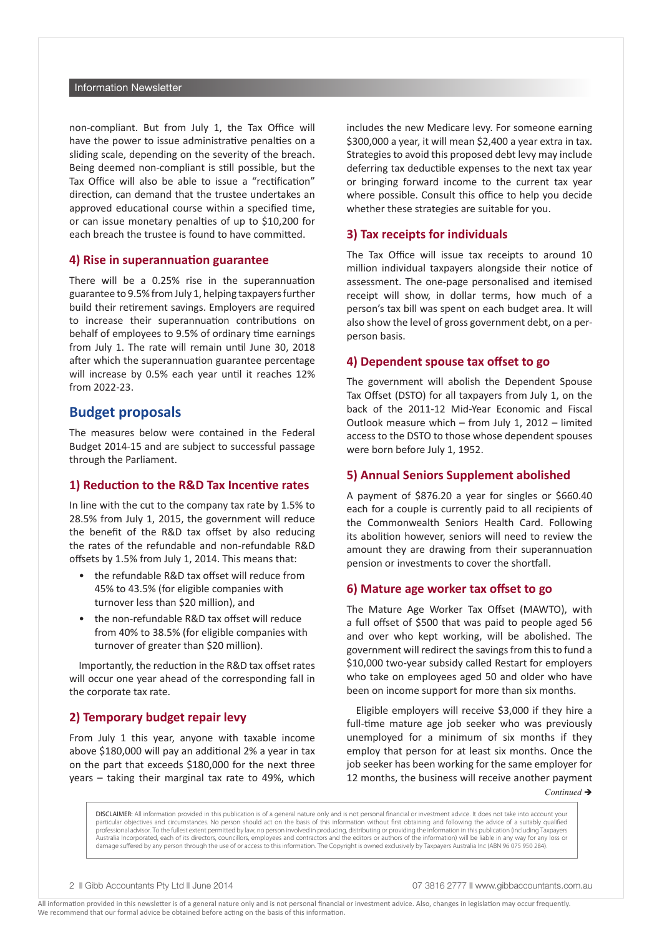#### Information Newsletter

non-compliant. But from July 1, the Tax Office will have the power to issue administrative penalties on a sliding scale, depending on the severity of the breach. Being deemed non-compliant is still possible, but the Tax Office will also be able to issue a "rectification" direction, can demand that the trustee undertakes an approved educational course within a specified time, or can issue monetary penalties of up to \$10,200 for each breach the trustee is found to have committed.

#### **4) Rise in superannuation guarantee**

There will be a 0.25% rise in the superannuation guarantee to 9.5% from July 1, helping taxpayers further build their retirement savings. Employers are required to increase their superannuation contributions on behalf of employees to 9.5% of ordinary time earnings from July 1. The rate will remain until June 30, 2018 after which the superannuation guarantee percentage will increase by 0.5% each year until it reaches 12% from 2022-23.

## **Budget proposals**

The measures below were contained in the Federal Budget 2014-15 and are subject to successful passage through the Parliament.

#### **1) Reduction to the R&D Tax Incentive rates**

In line with the cut to the company tax rate by 1.5% to 28.5% from July 1, 2015, the government will reduce the benefit of the R&D tax offset by also reducing the rates of the refundable and non-refundable R&D offsets by 1.5% from July 1, 2014. This means that:

- the refundable R&D tax offset will reduce from 45% to 43.5% (for eligible companies with turnover less than \$20 million), and
- the non-refundable R&D tax offset will reduce from 40% to 38.5% (for eligible companies with turnover of greater than \$20 million).

Importantly, the reduction in the R&D tax offset rates will occur one year ahead of the corresponding fall in the corporate tax rate.

### **2) Temporary budget repair levy**

From July 1 this year, anyone with taxable income above \$180,000 will pay an additional 2% a year in tax on the part that exceeds \$180,000 for the next three years – taking their marginal tax rate to 49%, which includes the new Medicare levy. For someone earning \$300,000 a year, it will mean \$2,400 a year extra in tax. Strategies to avoid this proposed debt levy may include deferring tax deductible expenses to the next tax year or bringing forward income to the current tax year where possible. Consult this office to help you decide whether these strategies are suitable for you.

#### **3) Tax receipts for individuals**

The Tax Office will issue tax receipts to around 10 million individual taxpayers alongside their notice of assessment. The one-page personalised and itemised receipt will show, in dollar terms, how much of a person's tax bill was spent on each budget area. It will also show the level of gross government debt, on a perperson basis.

#### **4) Dependent spouse tax offset to go**

The government will abolish the Dependent Spouse Tax Offset (DSTO) for all taxpayers from July 1, on the back of the 2011-12 Mid-Year Economic and Fiscal Outlook measure which – from July 1, 2012 – limited access to the DSTO to those whose dependent spouses were born before July 1, 1952.

#### **5) Annual Seniors Supplement abolished**

A payment of \$876.20 a year for singles or \$660.40 each for a couple is currently paid to all recipients of the Commonwealth Seniors Health Card. Following its abolition however, seniors will need to review the amount they are drawing from their superannuation pension or investments to cover the shortfall.

#### **6) Mature age worker tax offset to go**

The Mature Age Worker Tax Offset (MAWTO), with a full offset of \$500 that was paid to people aged 56 and over who kept working, will be abolished. The government will redirect the savings from this to fund a \$10,000 two-year subsidy called Restart for employers who take on employees aged 50 and older who have been on income support for more than six months.

Eligible employers will receive \$3,000 if they hire a full-time mature age job seeker who was previously unemployed for a minimum of six months if they employ that person for at least six months. Once the job seeker has been working for the same employer for 12 months, the business will receive another payment

 $Continued \rightarrow$ 

DISCLAIMER: All information provided in this publication is of a general nature only and is not personal financial or investment advice. It does not take into account your particular objectives and circumstances. No person should act on the basis of this information without first obtaining and following the advice of a suitably qualified professional advisor. To the fullest extent permitted by law, no person involved in producing, distributing or providing the information in this publication (including Taxpayers Australia Incorporated, each of its directors, councillors, employees and contractors and the editors or authors of the information) will be liable in any way for any loss or damage suffered by any person through the use of or access to this information. The Copyright is owned exclusively by Taxpayers Australia Inc (ABN 96 075 950 284).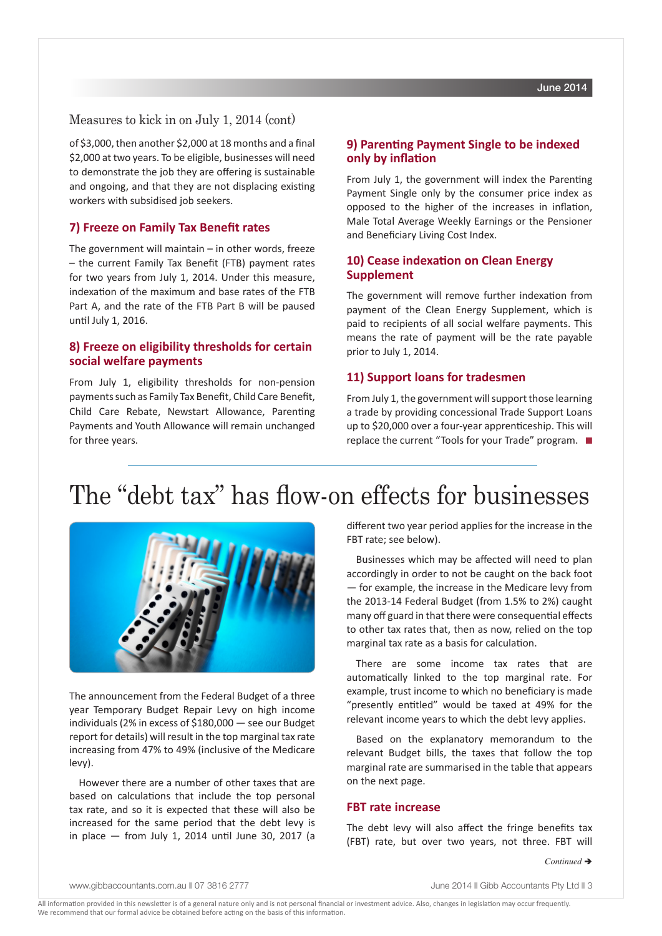## Measures to kick in on July 1, 2014 (cont)

of \$3,000, then another \$2,000 at 18 months and a final \$2,000 at two years. To be eligible, businesses will need to demonstrate the job they are offering is sustainable and ongoing, and that they are not displacing existing workers with subsidised job seekers.

#### **7) Freeze on Family Tax Benefit rates**

The government will maintain – in other words, freeze – the current Family Tax Benefit (FTB) payment rates for two years from July 1, 2014. Under this measure, indexation of the maximum and base rates of the FTB Part A, and the rate of the FTB Part B will be paused until July 1, 2016.

## **8) Freeze on eligibility thresholds for certain social welfare payments**

From July 1, eligibility thresholds for non-pension payments such as Family Tax Benefit, Child Care Benefit, Child Care Rebate, Newstart Allowance, Parenting Payments and Youth Allowance will remain unchanged for three years.

## **9) Parenting Payment Single to be indexed only by inflation**

From July 1, the government will index the Parenting Payment Single only by the consumer price index as opposed to the higher of the increases in inflation, Male Total Average Weekly Earnings or the Pensioner and Beneficiary Living Cost Index.

## **10) Cease indexation on Clean Energy Supplement**

The government will remove further indexation from payment of the Clean Energy Supplement, which is paid to recipients of all social welfare payments. This means the rate of payment will be the rate payable prior to July 1, 2014.

#### **11) Support loans for tradesmen**

From July 1, the government will support those learning a trade by providing concessional Trade Support Loans up to \$20,000 over a four-year apprenticeship. This will replace the current "Tools for your Trade" program.  $\blacksquare$ 

## The "debt tax" has flow-on effects for businesses



The announcement from the Federal Budget of a three year Temporary Budget Repair Levy on high income individuals (2% in excess of \$180,000 — see our Budget report for details) will result in the top marginal tax rate increasing from 47% to 49% (inclusive of the Medicare levy).

However there are a number of other taxes that are based on calculations that include the top personal tax rate, and so it is expected that these will also be increased for the same period that the debt levy is in place — from July 1, 2014 until June 30, 2017 (a different two year period applies for the increase in the FBT rate; see below).

Businesses which may be affected will need to plan accordingly in order to not be caught on the back foot — for example, the increase in the Medicare levy from the 2013-14 Federal Budget (from 1.5% to 2%) caught many off guard in that there were consequential effects to other tax rates that, then as now, relied on the top marginal tax rate as a basis for calculation.

There are some income tax rates that are automatically linked to the top marginal rate. For example, trust income to which no beneficiary is made "presently entitled" would be taxed at 49% for the relevant income years to which the debt levy applies.

Based on the explanatory memorandum to the relevant Budget bills, the taxes that follow the top marginal rate are summarised in the table that appears on the next page.

#### **FBT rate increase**

The debt levy will also affect the fringe benefits tax (FBT) rate, but over two years, not three. FBT will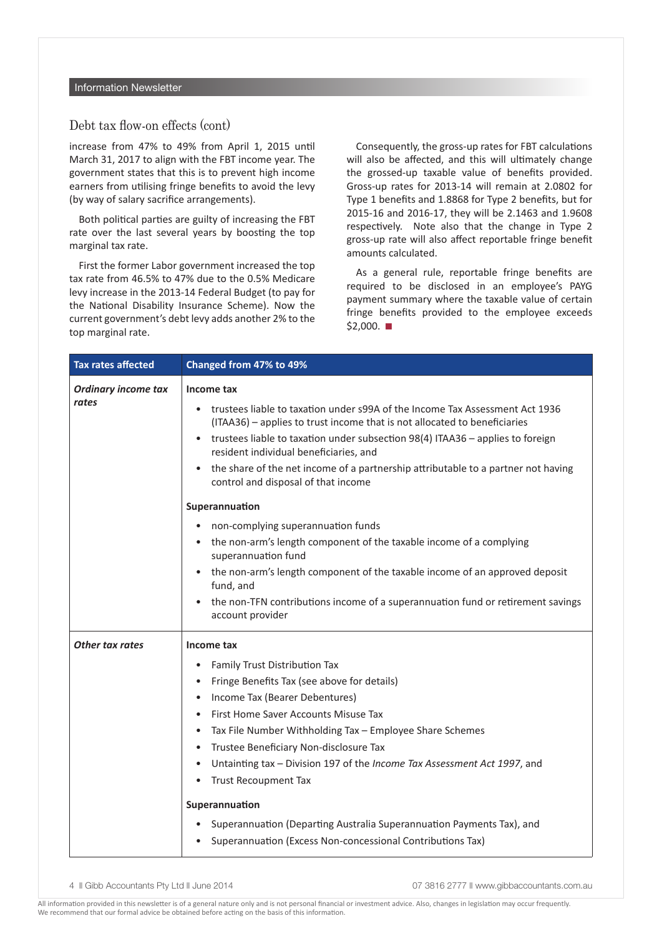## Debt tax flow-on effects (cont)

increase from 47% to 49% from April 1, 2015 until March 31, 2017 to align with the FBT income year. The government states that this is to prevent high income earners from utilising fringe benefits to avoid the levy (by way of salary sacrifice arrangements).

Both political parties are guilty of increasing the FBT rate over the last several years by boosting the top marginal tax rate.

First the former Labor government increased the top tax rate from 46.5% to 47% due to the 0.5% Medicare levy increase in the 2013-14 Federal Budget (to pay for the National Disability Insurance Scheme). Now the current government's debt levy adds another 2% to the top marginal rate.

Consequently, the gross-up rates for FBT calculations will also be affected, and this will ultimately change the grossed-up taxable value of benefits provided. Gross-up rates for 2013-14 will remain at 2.0802 for Type 1 benefits and 1.8868 for Type 2 benefits, but for 2015-16 and 2016-17, they will be 2.1463 and 1.9608 respectively. Note also that the change in Type 2 gross-up rate will also affect reportable fringe benefit amounts calculated.

As a general rule, reportable fringe benefits are required to be disclosed in an employee's PAYG payment summary where the taxable value of certain fringe benefits provided to the employee exceeds  $$2,000.$   $\blacksquare$ 

| <b>Tax rates affected</b>           | Changed from 47% to 49%                                                                                                                                                |  |  |  |  |
|-------------------------------------|------------------------------------------------------------------------------------------------------------------------------------------------------------------------|--|--|--|--|
| <b>Ordinary income tax</b><br>rates | Income tax                                                                                                                                                             |  |  |  |  |
|                                     | trustees liable to taxation under s99A of the Income Tax Assessment Act 1936<br>$\bullet$<br>(ITAA36) - applies to trust income that is not allocated to beneficiaries |  |  |  |  |
|                                     | trustees liable to taxation under subsection 98(4) ITAA36 - applies to foreign<br>resident individual beneficiaries, and                                               |  |  |  |  |
|                                     | the share of the net income of a partnership attributable to a partner not having<br>$\bullet$<br>control and disposal of that income                                  |  |  |  |  |
|                                     | Superannuation                                                                                                                                                         |  |  |  |  |
|                                     | non-complying superannuation funds<br>$\bullet$                                                                                                                        |  |  |  |  |
|                                     | the non-arm's length component of the taxable income of a complying<br>$\bullet$<br>superannuation fund                                                                |  |  |  |  |
|                                     | the non-arm's length component of the taxable income of an approved deposit<br>fund, and                                                                               |  |  |  |  |
|                                     | the non-TFN contributions income of a superannuation fund or retirement savings<br>$\bullet$<br>account provider                                                       |  |  |  |  |
| Other tax rates                     | Income tax                                                                                                                                                             |  |  |  |  |
|                                     | Family Trust Distribution Tax<br>$\bullet$                                                                                                                             |  |  |  |  |
|                                     | Fringe Benefits Tax (see above for details)<br>$\bullet$                                                                                                               |  |  |  |  |
|                                     | Income Tax (Bearer Debentures)                                                                                                                                         |  |  |  |  |
|                                     | First Home Saver Accounts Misuse Tax<br>$\bullet$                                                                                                                      |  |  |  |  |
|                                     | Tax File Number Withholding Tax - Employee Share Schemes<br>$\bullet$                                                                                                  |  |  |  |  |
|                                     | Trustee Beneficiary Non-disclosure Tax<br>$\bullet$                                                                                                                    |  |  |  |  |
|                                     | Untainting tax - Division 197 of the Income Tax Assessment Act 1997, and<br>$\bullet$                                                                                  |  |  |  |  |
|                                     | <b>Trust Recoupment Tax</b><br>$\bullet$                                                                                                                               |  |  |  |  |
|                                     | Superannuation                                                                                                                                                         |  |  |  |  |
|                                     | Superannuation (Departing Australia Superannuation Payments Tax), and<br>$\bullet$                                                                                     |  |  |  |  |
|                                     | Superannuation (Excess Non-concessional Contributions Tax)                                                                                                             |  |  |  |  |

4 **|| Gibb Accountants Pty Ltd || June 2014 07 3816 2777 || www.gibbaccountants.com.au**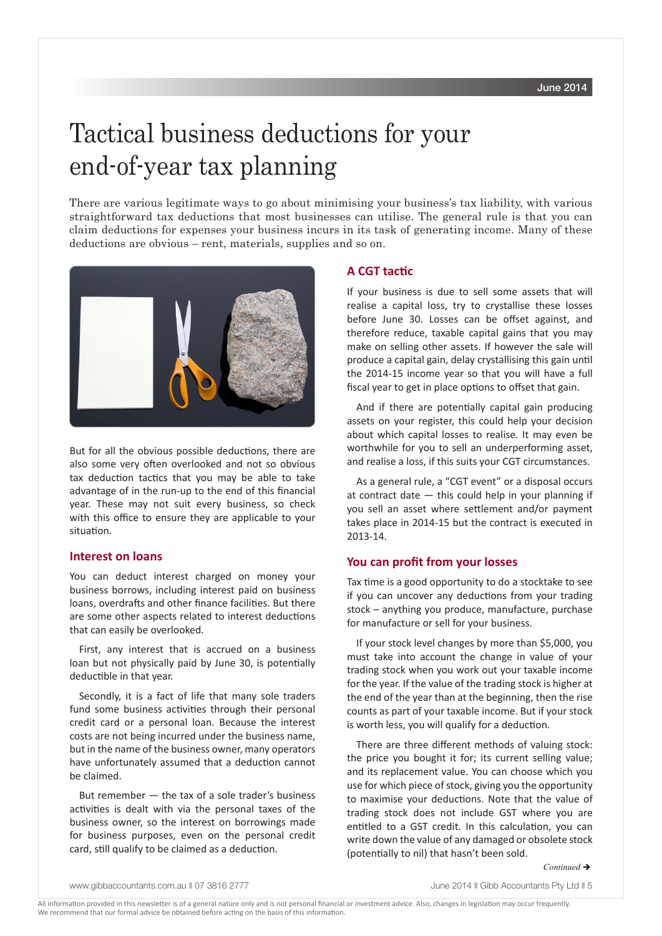# Tactical business deductions for your end-of-year tax planning

There are various legitimate ways to go about minimising your business's tax liability, with various straightforward tax deductions that most businesses can utilise. The general rule is that you can claim deductions for expenses your business incurs in its task of generating income. Many of these deductions are obvious – rent, materials, supplies and so on.



But for all the obvious possible deductions, there are also some very often overlooked and not so obvious tax deduction tactics that you may be able to take advantage of in the run-up to the end of this financial year. These may not suit every business, so check with this office to ensure they are applicable to your situation.

## **Interest on loans**

You can deduct interest charged on money your business borrows, including interest paid on business loans, overdrafts and other finance facilities. But there are some other aspects related to interest deductions that can easily be overlooked.

First, any interest that is accrued on a business loan but not physically paid by June 30, is potentially deductible in that year.

Secondly, it is a fact of life that many sole traders fund some business activities through their personal credit card or a personal loan. Because the interest costs are not being incurred under the business name, but in the name of the business owner, many operators have unfortunately assumed that a deduction cannot be claimed.

But remember — the tax of a sole trader's business activities is dealt with via the personal taxes of the business owner, so the interest on borrowings made for business purposes, even on the personal credit card, still qualify to be claimed as a deduction.

#### **A CGT tactic**

If your business is due to sell some assets that will realise a capital loss, try to crystallise these losses before June 30. Losses can be offset against, and therefore reduce, taxable capital gains that you may make on selling other assets. If however the sale will produce a capital gain, delay crystallising this gain until the 2014-15 income year so that you will have a full fiscal year to get in place options to offset that gain.

And if there are potentially capital gain producing assets on your register, this could help your decision about which capital losses to realise. It may even be worthwhile for you to sell an underperforming asset, and realise a loss, if this suits your CGT circumstances.

As a general rule, a "CGT event" or a disposal occurs at contract date  $-$  this could help in your planning if you sell an asset where settlement and/or payment takes place in 2014-15 but the contract is executed in 2013-14.

#### **You can profit from your losses**

Tax time is a good opportunity to do a stocktake to see if you can uncover any deductions from your trading stock – anything you produce, manufacture, purchase for manufacture or sell for your business.

If your stock level changes by more than \$5,000, you must take into account the change in value of your trading stock when you work out your taxable income for the year. If the value of the trading stock is higher at the end of the year than at the beginning, then the rise counts as part of your taxable income. But if your stock is worth less, you will qualify for a deduction.

There are three different methods of valuing stock: the price you bought it for; its current selling value; and its replacement value. You can choose which you use for which piece of stock, giving you the opportunity to maximise your deductions. Note that the value of trading stock does not include GST where you are entitled to a GST credit. In this calculation, you can write down the value of any damaged or obsolete stock (potentially to nil) that hasn't been sold.

www.gibbaccountants.com.au || 07 3816 2777 June 2014 || Gibb Accountants Pty Ltd || 5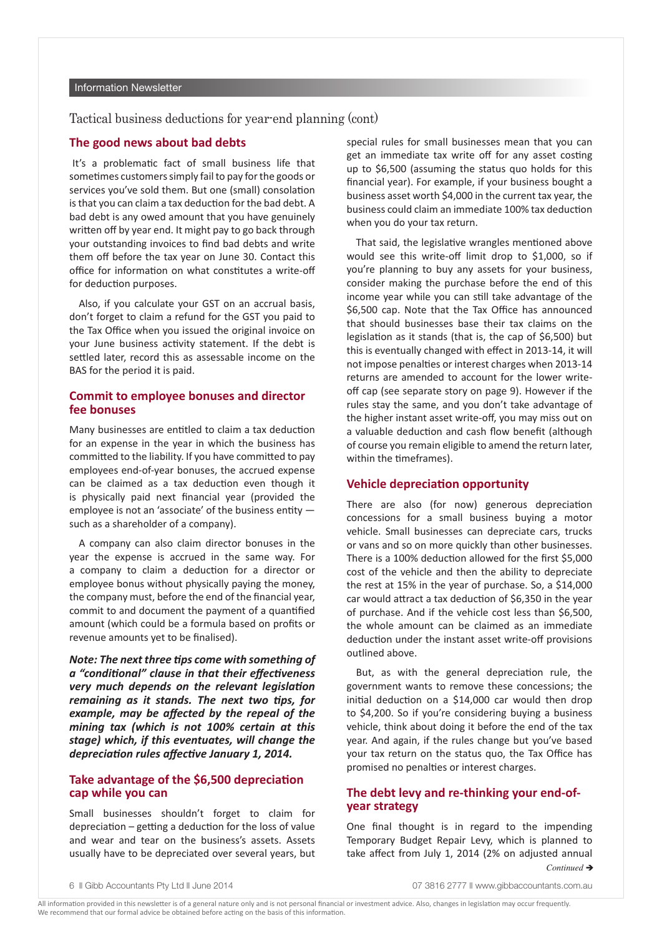#### Information Newsletter

Tactical business deductions for year-end planning (cont)

#### **The good news about bad debts**

It's a problematic fact of small business life that sometimes customers simply fail to pay for the goods or services you've sold them. But one (small) consolation is that you can claim a tax deduction for the bad debt. A bad debt is any owed amount that you have genuinely written off by year end. It might pay to go back through your outstanding invoices to find bad debts and write them off before the tax year on June 30. Contact this office for information on what constitutes a write-off for deduction purposes.

Also, if you calculate your GST on an accrual basis, don't forget to claim a refund for the GST you paid to the Tax Office when you issued the original invoice on your June business activity statement. If the debt is settled later, record this as assessable income on the BAS for the period it is paid.

#### **Commit to employee bonuses and director fee bonuses**

Many businesses are entitled to claim a tax deduction for an expense in the year in which the business has committed to the liability. If you have committed to pay employees end-of-year bonuses, the accrued expense can be claimed as a tax deduction even though it is physically paid next financial year (provided the employee is not an 'associate' of the business entity such as a shareholder of a company).

A company can also claim director bonuses in the year the expense is accrued in the same way. For a company to claim a deduction for a director or employee bonus without physically paying the money, the company must, before the end of the financial year, commit to and document the payment of a quantified amount (which could be a formula based on profits or revenue amounts yet to be finalised).

*Note: The next three tips come with something of a "conditional" clause in that their effectiveness very much depends on the relevant legislation remaining as it stands. The next two tips, for example, may be affected by the repeal of the mining tax (which is not 100% certain at this stage) which, if this eventuates, will change the depreciation rules affective January 1, 2014.*

## **Take advantage of the \$6,500 depreciation cap while you can**

Small businesses shouldn't forget to claim for depreciation – getting a deduction for the loss of value and wear and tear on the business's assets. Assets usually have to be depreciated over several years, but special rules for small businesses mean that you can get an immediate tax write off for any asset costing up to \$6,500 (assuming the status quo holds for this financial year). For example, if your business bought a business asset worth \$4,000 in the current tax year, the business could claim an immediate 100% tax deduction when you do your tax return.

That said, the legislative wrangles mentioned above would see this write-off limit drop to \$1,000, so if you're planning to buy any assets for your business, consider making the purchase before the end of this income year while you can still take advantage of the \$6,500 cap. Note that the Tax Office has announced that should businesses base their tax claims on the legislation as it stands (that is, the cap of \$6,500) but this is eventually changed with effect in 2013-14, it will not impose penalties or interest charges when 2013-14 returns are amended to account for the lower writeoff cap (see separate story on page 9). However if the rules stay the same, and you don't take advantage of the higher instant asset write-off, you may miss out on a valuable deduction and cash flow benefit (although of course you remain eligible to amend the return later, within the timeframes).

#### **Vehicle depreciation opportunity**

There are also (for now) generous depreciation concessions for a small business buying a motor vehicle. Small businesses can depreciate cars, trucks or vans and so on more quickly than other businesses. There is a 100% deduction allowed for the first \$5,000 cost of the vehicle and then the ability to depreciate the rest at 15% in the year of purchase. So, a \$14,000 car would attract a tax deduction of \$6,350 in the year of purchase. And if the vehicle cost less than \$6,500, the whole amount can be claimed as an immediate deduction under the instant asset write-off provisions outlined above.

But, as with the general depreciation rule, the government wants to remove these concessions; the initial deduction on a \$14,000 car would then drop to \$4,200. So if you're considering buying a business vehicle, think about doing it before the end of the tax year. And again, if the rules change but you've based your tax return on the status quo, the Tax Office has promised no penalties or interest charges.

### **The debt levy and re-thinking your end-ofyear strategy**

One final thought is in regard to the impending Temporary Budget Repair Levy, which is planned to take affect from July 1, 2014 (2% on adjusted annual

*Continued* è

<sup>6</sup> **Community** Gibb Accountants Pty Ltd **iii** June 2014 **07 3816 2777** N www.qibbaccountants.com.au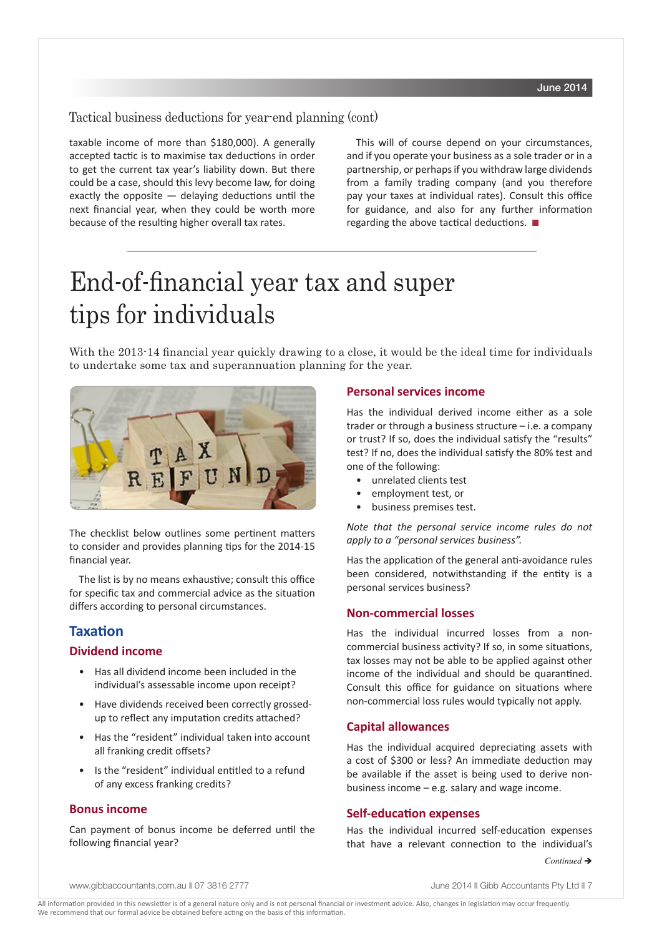## Tactical business deductions for year-end planning (cont)

taxable income of more than \$180,000). A generally accepted tactic is to maximise tax deductions in order to get the current tax year's liability down. But there could be a case, should this levy become law, for doing exactly the opposite  $-$  delaying deductions until the next financial year, when they could be worth more because of the resulting higher overall tax rates.

This will of course depend on your circumstances, and if you operate your business as a sole trader or in a partnership, or perhaps if you withdraw large dividends from a family trading company (and you therefore pay your taxes at individual rates). Consult this office for guidance, and also for any further information regarding the above tactical deductions.  $\blacksquare$ 

## End-of-financial year tax and super tips for individuals

With the 2013-14 financial year quickly drawing to a close, it would be the ideal time for individuals to undertake some tax and superannuation planning for the year.



The checklist below outlines some pertinent matters to consider and provides planning tips for the 2014-15 financial year.

The list is by no means exhaustive; consult this office for specific tax and commercial advice as the situation differs according to personal circumstances.

## **Taxation**

#### **Dividend income**

- Has all dividend income been included in the individual's assessable income upon receipt?
- Have dividends received been correctly grossedup to reflect any imputation credits attached?
- Has the "resident" individual taken into account all franking credit offsets?
- Is the "resident" individual entitled to a refund of any excess franking credits?

## **Bonus income**

Can payment of bonus income be deferred until the following financial year?

#### **Personal services income**

Has the individual derived income either as a sole trader or through a business structure – i.e. a company or trust? If so, does the individual satisfy the "results" test? If no, does the individual satisfy the 80% test and one of the following:

- unrelated clients test
- employment test, or
- business premises test.

*Note that the personal service income rules do not apply to a "personal services business".*

Has the application of the general anti-avoidance rules been considered, notwithstanding if the entity is a personal services business?

#### **Non-commercial losses**

Has the individual incurred losses from a noncommercial business activity? If so, in some situations, tax losses may not be able to be applied against other income of the individual and should be quarantined. Consult this office for guidance on situations where non-commercial loss rules would typically not apply.

#### **Capital allowances**

Has the individual acquired depreciating assets with a cost of \$300 or less? An immediate deduction may be available if the asset is being used to derive nonbusiness income – e.g. salary and wage income.

#### **Self-education expenses**

Has the individual incurred self-education expenses that have a relevant connection to the individual's

www.gibbaccountants.com.au || 07 3816 2777 June 2014 || Gibb Accountants Pty Ltd || 7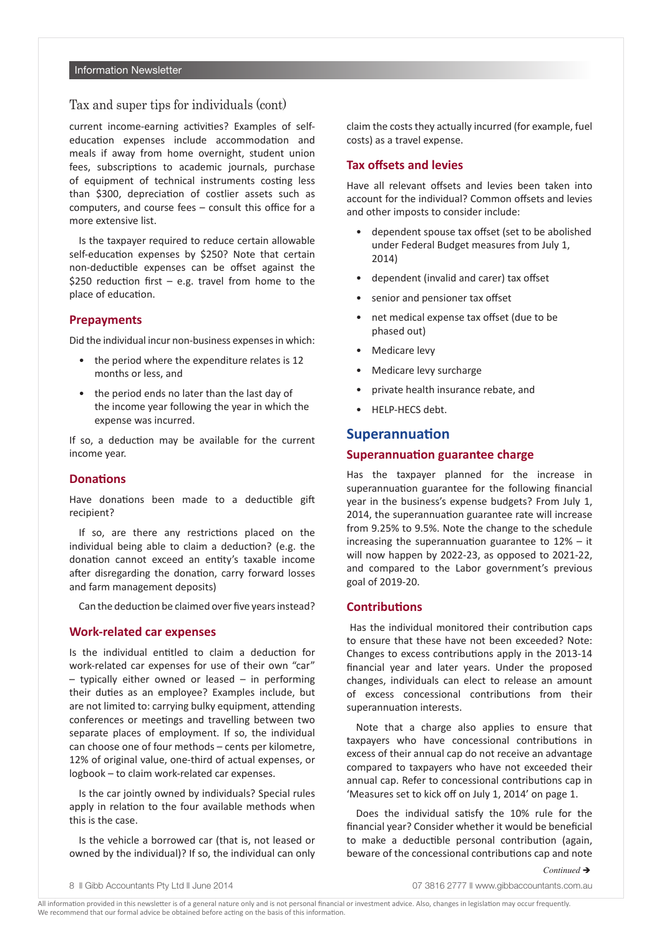### Tax and super tips for individuals (cont)

current income-earning activities? Examples of selfeducation expenses include accommodation and meals if away from home overnight, student union fees, subscriptions to academic journals, purchase of equipment of technical instruments costing less than \$300, depreciation of costlier assets such as computers, and course fees – consult this office for a more extensive list.

Is the taxpayer required to reduce certain allowable self-education expenses by \$250? Note that certain non-deductible expenses can be offset against the \$250 reduction first  $-$  e.g. travel from home to the place of education.

#### **Prepayments**

Did the individual incur non-business expenses in which:

- the period where the expenditure relates is 12 months or less, and
- the period ends no later than the last day of the income year following the year in which the expense was incurred.

If so, a deduction may be available for the current income year.

#### **Donations**

Have donations been made to a deductible gift recipient?

If so, are there any restrictions placed on the individual being able to claim a deduction? (e.g. the donation cannot exceed an entity's taxable income after disregarding the donation, carry forward losses and farm management deposits)

Can the deduction be claimed over five years instead?

#### **Work-related car expenses**

Is the individual entitled to claim a deduction for work-related car expenses for use of their own "car"  $-$  typically either owned or leased  $-$  in performing their duties as an employee? Examples include, but are not limited to: carrying bulky equipment, attending conferences or meetings and travelling between two separate places of employment. If so, the individual can choose one of four methods – cents per kilometre, 12% of original value, one-third of actual expenses, or logbook – to claim work-related car expenses.

Is the car jointly owned by individuals? Special rules apply in relation to the four available methods when this is the case.

Is the vehicle a borrowed car (that is, not leased or owned by the individual)? If so, the individual can only claim the costs they actually incurred (for example, fuel costs) as a travel expense.

#### **Tax offsets and levies**

Have all relevant offsets and levies been taken into account for the individual? Common offsets and levies and other imposts to consider include:

- dependent spouse tax offset (set to be abolished under Federal Budget measures from July 1, 2014)
- dependent (invalid and carer) tax offset
- senior and pensioner tax offset
- net medical expense tax offset (due to be phased out)
- Medicare levy
- Medicare levy surcharge
- private health insurance rebate, and
- HELP-HECS debt.

## **Superannuation**

#### **Superannuation guarantee charge**

Has the taxpayer planned for the increase in superannuation guarantee for the following financial year in the business's expense budgets? From July 1, 2014, the superannuation guarantee rate will increase from 9.25% to 9.5%. Note the change to the schedule increasing the superannuation guarantee to 12% – it will now happen by 2022-23, as opposed to 2021-22, and compared to the Labor government's previous goal of 2019-20.

### **Contributions**

Has the individual monitored their contribution caps to ensure that these have not been exceeded? Note: Changes to excess contributions apply in the 2013-14 financial year and later years. Under the proposed changes, individuals can elect to release an amount of excess concessional contributions from their superannuation interests.

Note that a charge also applies to ensure that taxpayers who have concessional contributions in excess of their annual cap do not receive an advantage compared to taxpayers who have not exceeded their annual cap. Refer to concessional contributions cap in 'Measures set to kick off on July 1, 2014' on page 1.

Does the individual satisfy the 10% rule for the financial year? Consider whether it would be beneficial to make a deductible personal contribution (again, beware of the concessional contributions cap and note

*Continued* →